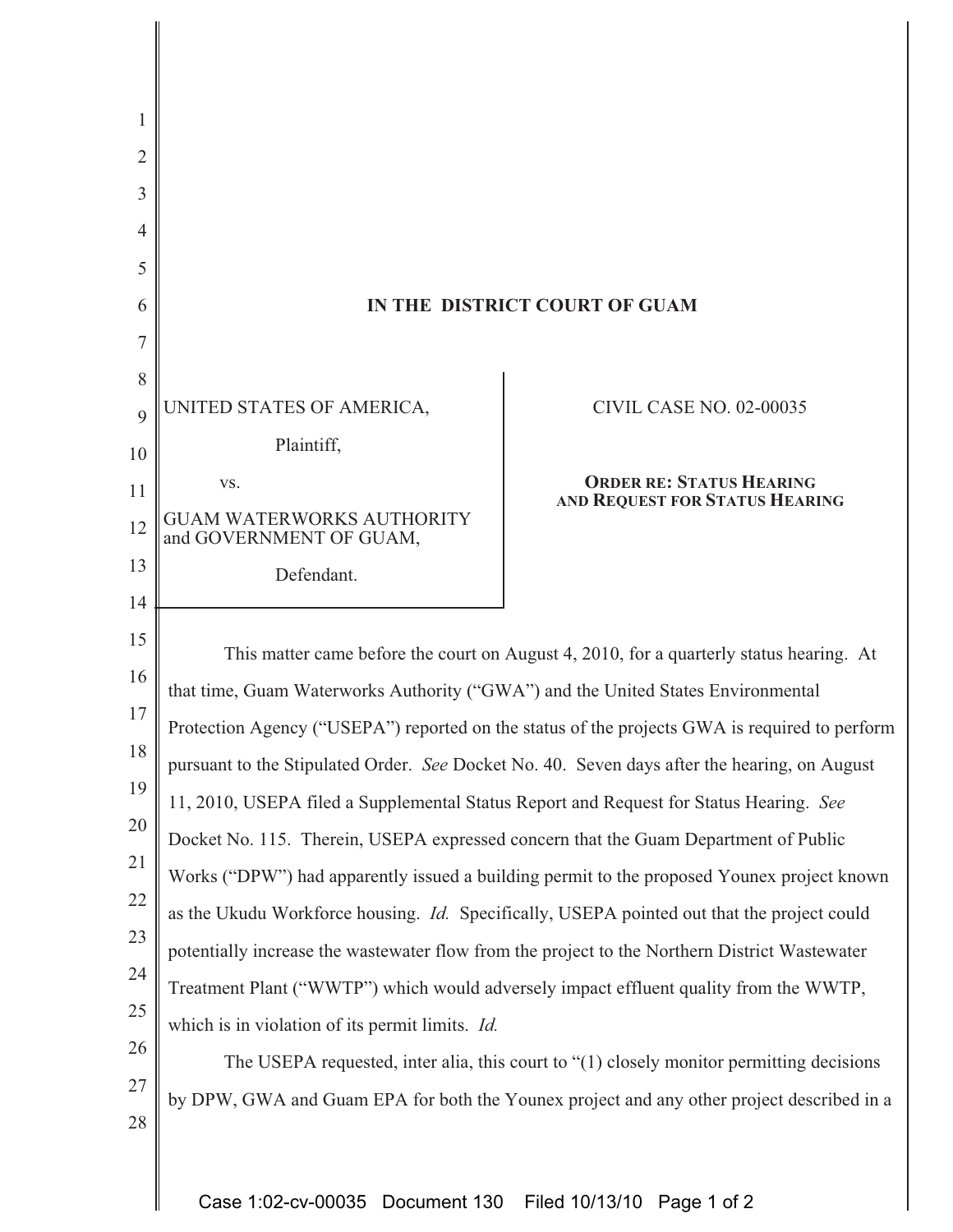| 1              |                                                                                                                                                                             |                                 |
|----------------|-----------------------------------------------------------------------------------------------------------------------------------------------------------------------------|---------------------------------|
| $\overline{2}$ |                                                                                                                                                                             |                                 |
| 3              |                                                                                                                                                                             |                                 |
| 4              |                                                                                                                                                                             |                                 |
| 5              |                                                                                                                                                                             |                                 |
| 6              | IN THE DISTRICT COURT OF GUAM                                                                                                                                               |                                 |
| 7              |                                                                                                                                                                             |                                 |
| 8              | UNITED STATES OF AMERICA,                                                                                                                                                   | <b>CIVIL CASE NO. 02-00035</b>  |
| 9              | Plaintiff,                                                                                                                                                                  |                                 |
| 10             | VS.                                                                                                                                                                         | <b>ORDER RE: STATUS HEARING</b> |
| 11             | <b>GUAM WATERWORKS AUTHORITY</b>                                                                                                                                            | AND REQUEST FOR STATUS HEARING  |
| 12             | and GOVERNMENT OF GUAM,                                                                                                                                                     |                                 |
| 13             | Defendant.                                                                                                                                                                  |                                 |
| 14             |                                                                                                                                                                             |                                 |
| 15             | This matter came before the court on August 4, 2010, for a quarterly status hearing. At<br>that time, Guam Waterworks Authority ("GWA") and the United States Environmental |                                 |
| 16             |                                                                                                                                                                             |                                 |
| 17             | Protection Agency ("USEPA") reported on the status of the projects GWA is required to perform                                                                               |                                 |
| 18             | pursuant to the Stipulated Order. See Docket No. 40. Seven days after the hearing, on August                                                                                |                                 |
| 19             | 11, 2010, USEPA filed a Supplemental Status Report and Request for Status Hearing. See                                                                                      |                                 |
| 20             | Docket No. 115. Therein, USEPA expressed concern that the Guam Department of Public                                                                                         |                                 |
| 21             | Works ("DPW") had apparently issued a building permit to the proposed Younex project known                                                                                  |                                 |
| 22             | as the Ukudu Workforce housing. <i>Id.</i> Specifically, USEPA pointed out that the project could                                                                           |                                 |
| 23             | potentially increase the wastewater flow from the project to the Northern District Wastewater                                                                               |                                 |
| 24             | Treatment Plant ("WWTP") which would adversely impact effluent quality from the WWTP,<br>which is in violation of its permit limits. <i>Id.</i>                             |                                 |
| 25             |                                                                                                                                                                             |                                 |
| 26             | The USEPA requested, inter alia, this court to "(1) closely monitor permitting decisions                                                                                    |                                 |
| 27             | by DPW, GWA and Guam EPA for both the Younex project and any other project described in a                                                                                   |                                 |
| 28             |                                                                                                                                                                             |                                 |
|                |                                                                                                                                                                             |                                 |

Case 1:02-cv-00035 Document 130 Filed 10/13/10 Page 1 of 2

Ш